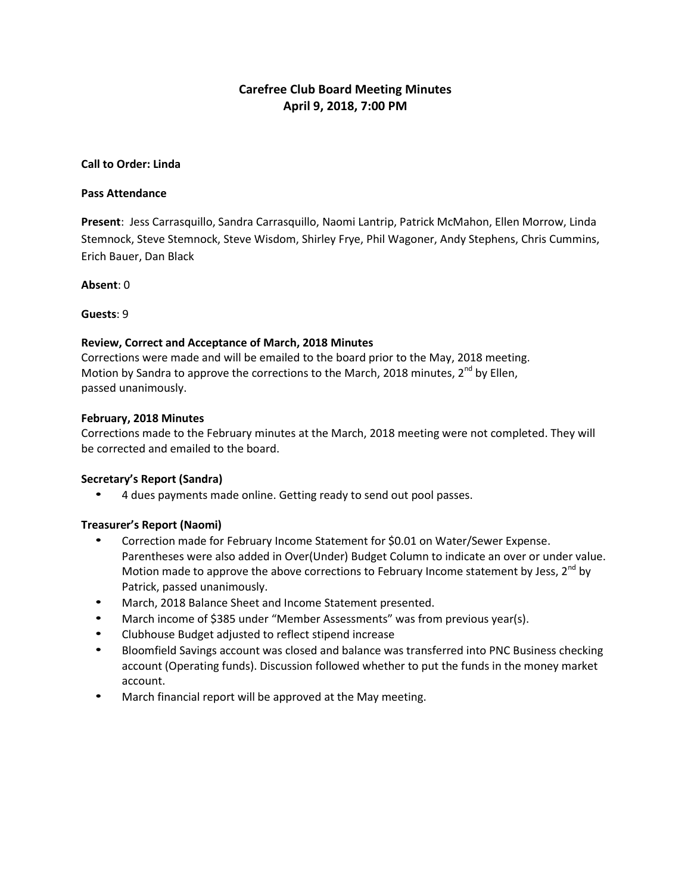# **Carefree Club Board Meeting Minutes April 9, 2018, 7:00 PM**

### **Call to Order: Linda**

#### **Pass Attendance**

**Present**: Jess Carrasquillo, Sandra Carrasquillo, Naomi Lantrip, Patrick McMahon, Ellen Morrow, Linda Stemnock, Steve Stemnock, Steve Wisdom, Shirley Frye, Phil Wagoner, Andy Stephens, Chris Cummins, Erich Bauer, Dan Black

**Absent**: 0

**Guests**: 9

### **Review, Correct and Acceptance of March, 2018 Minutes**

Corrections were made and will be emailed to the board prior to the May, 2018 meeting. Motion by Sandra to approve the corrections to the March, 2018 minutes,  $2^{nd}$  by Ellen, passed unanimously.

### **February, 2018 Minutes**

Corrections made to the February minutes at the March, 2018 meeting were not completed. They will be corrected and emailed to the board.

# **Secretary's Report (Sandra)**

• 4 dues payments made online. Getting ready to send out pool passes.

# **Treasurer's Report (Naomi)**

- Correction made for February Income Statement for \$0.01 on Water/Sewer Expense. Parentheses were also added in Over(Under) Budget Column to indicate an over or under value. Motion made to approve the above corrections to February Income statement by Jess,  $2^{nd}$  by Patrick, passed unanimously.
- March, 2018 Balance Sheet and Income Statement presented.
- March income of \$385 under "Member Assessments" was from previous year(s).
- Clubhouse Budget adjusted to reflect stipend increase
- Bloomfield Savings account was closed and balance was transferred into PNC Business checking account (Operating funds). Discussion followed whether to put the funds in the money market account.
- March financial report will be approved at the May meeting.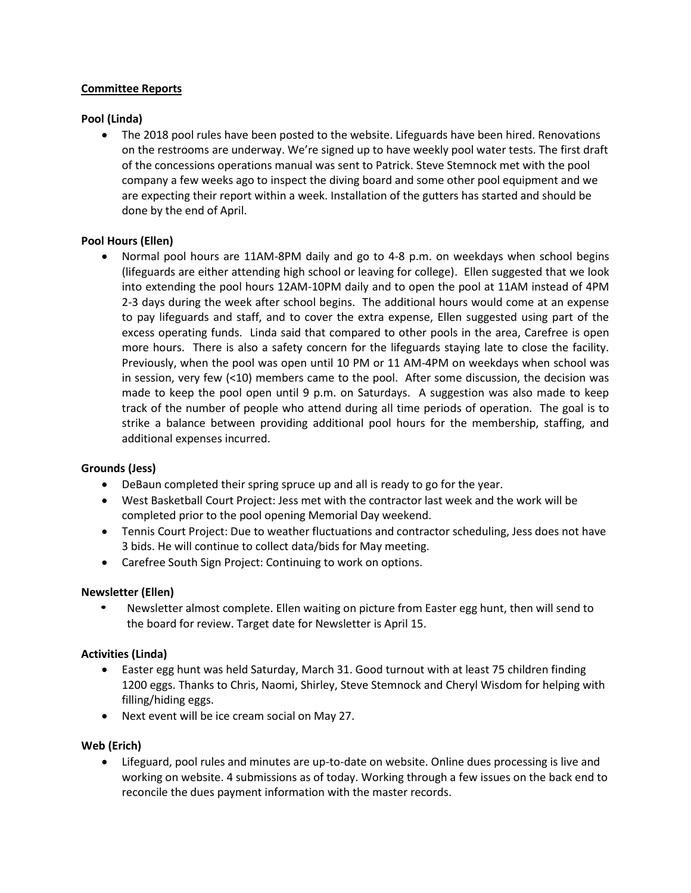# **Committee Reports**

# **Pool (Linda)**

• The 2018 pool rules have been posted to the website. Lifeguards have been hired. Renovations on the restrooms are underway. We're signed up to have weekly pool water tests. The first draft of the concessions operations manual was sent to Patrick. Steve Stemnock met with the pool company a few weeks ago to inspect the diving board and some other pool equipment and we are expecting their report within a week. Installation of the gutters has started and should be done by the end of April.

# **Pool Hours (Ellen)**

• Normal pool hours are 11AM-8PM daily and go to 4-8 p.m. on weekdays when school begins (lifeguards are either attending high school or leaving for college). Ellen suggested that we look into extending the pool hours 12AM-10PM daily and to open the pool at 11AM instead of 4PM 2-3 days during the week after school begins. The additional hours would come at an expense to pay lifeguards and staff, and to cover the extra expense, Ellen suggested using part of the excess operating funds. Linda said that compared to other pools in the area, Carefree is open more hours. There is also a safety concern for the lifeguards staying late to close the facility. Previously, when the pool was open until 10 PM or 11 AM-4PM on weekdays when school was in session, very few (<10) members came to the pool. After some discussion, the decision was made to keep the pool open until 9 p.m. on Saturdays. A suggestion was also made to keep track of the number of people who attend during all time periods of operation. The goal is to strike a balance between providing additional pool hours for the membership, staffing, and additional expenses incurred.

#### **Grounds (Jess)**

- DeBaun completed their spring spruce up and all is ready to go for the year.
- West Basketball Court Project: Jess met with the contractor last week and the work will be completed prior to the pool opening Memorial Day weekend.
- Tennis Court Project: Due to weather fluctuations and contractor scheduling, Jess does not have 3 bids. He will continue to collect data/bids for May meeting.
- Carefree South Sign Project: Continuing to work on options.

# **Newsletter (Ellen)**

• Newsletter almost complete. Ellen waiting on picture from Easter egg hunt, then will send to the board for review. Target date for Newsletter is April 15.

# **Activities (Linda)**

- Easter egg hunt was held Saturday, March 31. Good turnout with at least 75 children finding 1200 eggs. Thanks to Chris, Naomi, Shirley, Steve Stemnock and Cheryl Wisdom for helping with filling/hiding eggs.
- Next event will be ice cream social on May 27.

# **Web (Erich)**

 Lifeguard, pool rules and minutes are up-to-date on website. Online dues processing is live and working on website. 4 submissions as of today. Working through a few issues on the back end to reconcile the dues payment information with the master records.